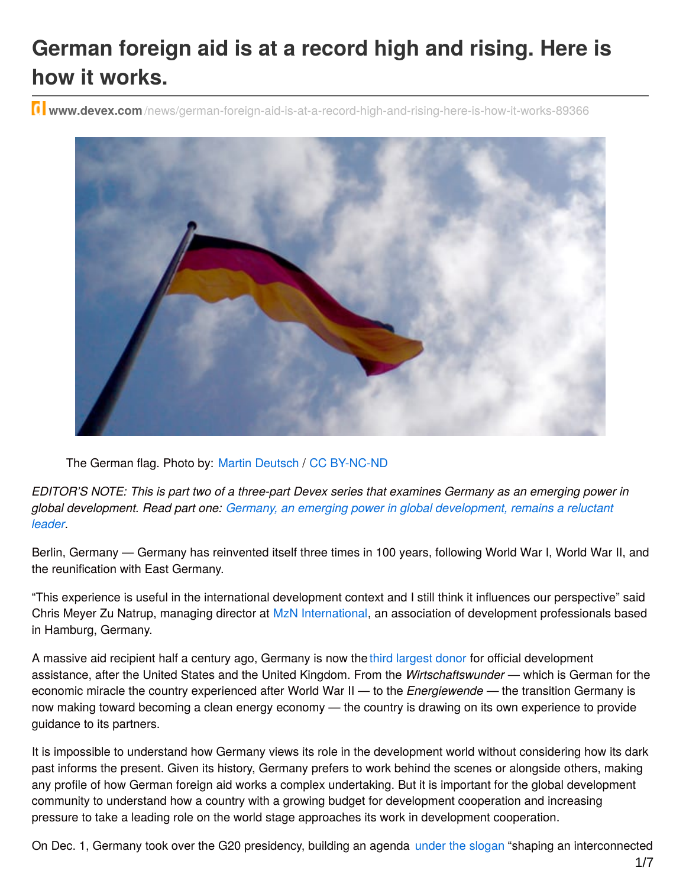# **German foreign aid is at a record high and rising. Here is how it works.**

**www.devex.com** [/news/german-foreign-aid-is-at-a-record-high-and-rising-here-is-how-it-works-89366](https://www.devex.com/news/german-foreign-aid-is-at-a-record-high-and-rising-here-is-how-it-works-89366)



The German flag. Photo by: Martin [Deutsch](https://www.flickr.com/photos/teflon/2351308357/) / CC [BY-NC-ND](https://creativecommons.org/licenses/by-nc-nd/2.0/)

EDITOR'S NOTE: This is part two of a three-part Devex series that examines Germany as an emerging power in *global development. Read part one: Germany, an emerging power in global [development,](https://www.devex.com/news/germany-an-emerging-power-in-global-development-remains-a-reluctant-leader-89245) remains a reluctant leader.*

Berlin, Germany — Germany has reinvented itself three times in 100 years, following World War I, World War II, and the reunification with East Germany.

"This experience is useful in the international development context and I still think it influences our perspective" said Chris Meyer Zu Natrup, managing director at MzN [International](http://www.mzninternational.com), an association of development professionals based in Hamburg, Germany.

A massive aid recipient half a century ago, Germany is now the third [largest](http://www.bmz.de/en/press/aktuelleMeldungen/2016/april/160413_pm_029_New-OECD-figures-German-ODA-ratio-rises-to-0_52-per-cent-in-2015/index.html) donor for official development assistance, after the United States and the United Kingdom. From the *Wirtschaftswunder* — which is German for the economic miracle the country experienced after World War II — to the *Energiewende —* the transition Germany is now making toward becoming a clean energy economy — the country is drawing on its own experience to provide guidance to its partners.

It is impossible to understand how Germany views its role in the development world without considering how its dark past informs the present. Given its history, Germany prefers to work behind the scenes or alongside others, making any profile of how German foreign aid works a complex undertaking. But it is important for the global development community to understand how a country with a growing budget for development cooperation and increasing pressure to take a leading role on the world stage approaches its work in development cooperation.

On Dec. 1, Germany took over the G20 presidency, building an agenda under the [slogan](http://www.bmz.de/en/service/feature/g20/home/index.html) "shaping an interconnected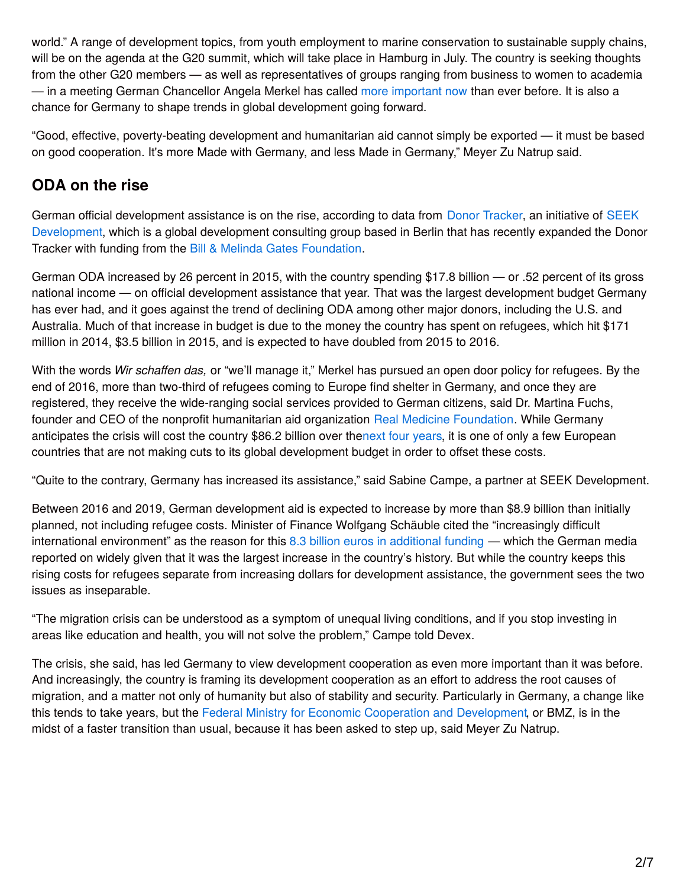world." A range of development topics, from youth employment to marine conservation to sustainable supply chains, will be on the agenda at the G20 summit, which will take place in Hamburg in July. The country is seeking thoughts from the other G20 members — as well as representatives of groups ranging from business to women to academia — in a meeting German Chancellor Angela Merkel has called more [important](https://www.g20.org/Webs/G20/EN/Home/home_node.html) now than ever before. It is also a chance for Germany to shape trends in global development going forward.

"Good, effective, poverty-beating development and humanitarian aid cannot simply be exported — it must be based on good cooperation. It's more Made with Germany, and less Made in Germany," Meyer Zu Natrup said.

# **ODA on the rise**

German official development assistance is on the rise, according to data from Donor [Tracker](https://www.donortracker.org/countries/germany), an initiative of SEEK [Development,](http://seekdevelopment.org/) which is a global development consulting group based in Berlin that has recently expanded the Donor Tracker with funding from the Bill & Melinda Gates [Foundation](https://www.devex.com/organizations/bill-melinda-gates-foundation-b-mgf-44525).

German ODA increased by 26 percent in 2015, with the country spending \$17.8 billion — or .52 percent of its gross national income — on official development assistance that year. That was the largest development budget Germany has ever had, and it goes against the trend of declining ODA among other major donors, including the U.S. and Australia. Much of that increase in budget is due to the money the country has spent on refugees, which hit \$171 million in 2014, \$3.5 billion in 2015, and is expected to have doubled from 2015 to 2016.

With the words *Wir schaffen das,* or "we'll manage it," Merkel has pursued an open door policy for refugees. By the end of 2016, more than two-third of refugees coming to Europe find shelter in Germany, and once they are registered, they receive the wide-ranging social services provided to German citizens, said Dr. Martina Fuchs, founder and CEO of the nonprofit humanitarian aid organization Real Medicine [Foundation](https://www.devex.com/organizations/real-medicine-foundation-49377). While Germany anticipates the crisis will cost the country \$86.2 billion over thenext four [years](http://www.wsj.com/articles/germany-puts-migration-related-costs-at-over-86-billion-over-next-four-years-1467392402), it is one of only a few European countries that are not making cuts to its global development budget in order to offset these costs.

"Quite to the contrary, Germany has increased its assistance," said Sabine Campe, a partner at SEEK Development.

Between 2016 and 2019, German development aid is expected to increase by more than \$8.9 billion than initially planned, not including refugee costs. Minister of Finance Wolfgang Schäuble cited the "increasingly difficult international environment" as the reason for this 8.3 billion euros in [additional](https://www.euractiv.com/section/development-policy/news/german-development-aid-hits-record-high-in-draft-budget/) funding — which the German media reported on widely given that it was the largest increase in the country's history. But while the country keeps this rising costs for refugees separate from increasing dollars for development assistance, the government sees the two issues as inseparable.

"The migration crisis can be understood as a symptom of unequal living conditions, and if you stop investing in areas like education and health, you will not solve the problem," Campe told Devex.

The crisis, she said, has led Germany to view development cooperation as even more important than it was before. And increasingly, the country is framing its development cooperation as an effort to address the root causes of migration, and a matter not only of humanity but also of stability and security. Particularly in Germany, a change like this tends to take years, but the Federal Ministry for Economic Cooperation and [Development](https://www.devex.com/organizations/german-federal-ministry-for-economic-cooperation-and-development-bmz-48672), or BMZ, is in the midst of a faster transition than usual, because it has been asked to step up, said Meyer Zu Natrup.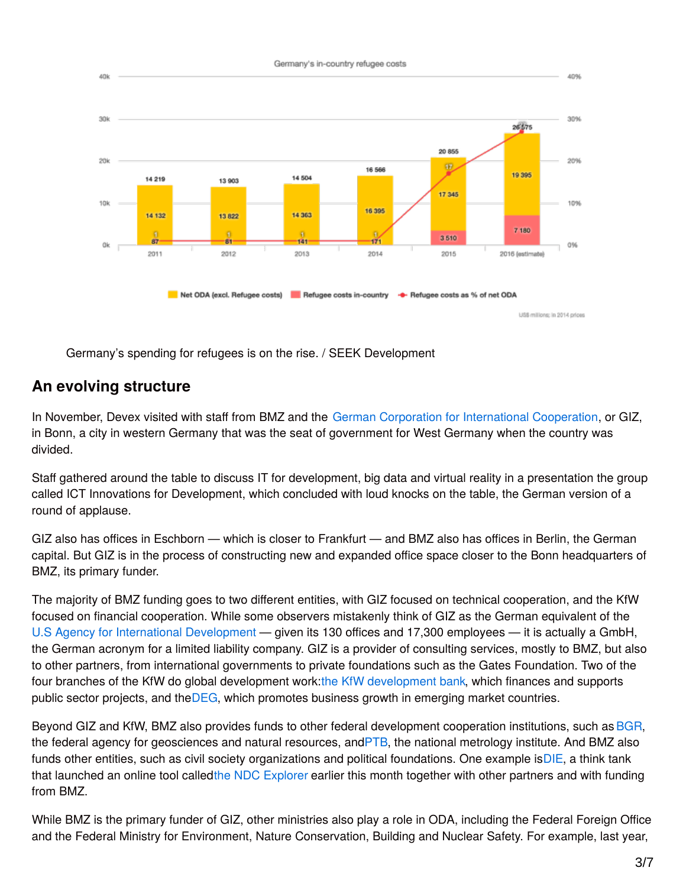

Germany's spending for refugees is on the rise. / SEEK Development

#### **An evolving structure**

In November, Devex visited with staff from BMZ and the German Corporation for [International](https://www.devex.com/organizations/deutsche-gesellschaft-fur-internationale-zusammenarbeit-giz-5065) Cooperation, or GIZ, in Bonn, a city in western Germany that was the seat of government for West Germany when the country was divided.

Staff gathered around the table to discuss IT for development, big data and virtual reality in a presentation the group called ICT Innovations for Development, which concluded with loud knocks on the table, the German version of a round of applause.

GIZ also has offices in Eschborn — which is closer to Frankfurt — and BMZ also has offices in Berlin, the German capital. But GIZ is in the process of constructing new and expanded office space closer to the Bonn headquarters of BMZ, its primary funder.

The majority of BMZ funding goes to two different entities, with GIZ focused on technical cooperation, and the KfW focused on financial cooperation. While some observers mistakenly think of GIZ as the German equivalent of the U.S Agency for International [Development](https://www.devex.com/organizations/usaid-45096) — given its 130 offices and 17,300 employees — it is actually a GmbH, the German acronym for a limited liability company. GIZ is a provider of consulting services, mostly to BMZ, but also to other partners, from international governments to private foundations such as the Gates Foundation. Two of the four branches of the KfW do global [development](https://www.kfw-entwicklungsbank.de/International-financing/KfW-Entwicklungsbank/) work:the KfW development bank, which finances and supports public sector projects, and th[eDEG](https://www.deginvest.de/International-financing/DEG/), which promotes business growth in emerging market countries.

Beyond GIZ and KfW, BMZ also provides funds to other federal development cooperation institutions, such as [BGR](http://www.bgr.bund.de/EN/Home/homepage_node_en.html), the federal agency for geosciences and natural resources, an[dPTB](https://www.ptb.de/cms/en.html), the national metrology institute. And BMZ also funds other entities, such as civil society organizations and political foundations. One example i[sDIE](http://www.die-gdi.de/), a think tank that launched an online tool calledthe NDC [Explorer](https://www.die-gdi.de/en/ndc/) earlier this month together with other partners and with funding from BMZ.

While BMZ is the primary funder of GIZ, other ministries also play a role in ODA, including the Federal Foreign Office and the Federal Ministry for Environment, Nature Conservation, Building and Nuclear Safety. For example, last year,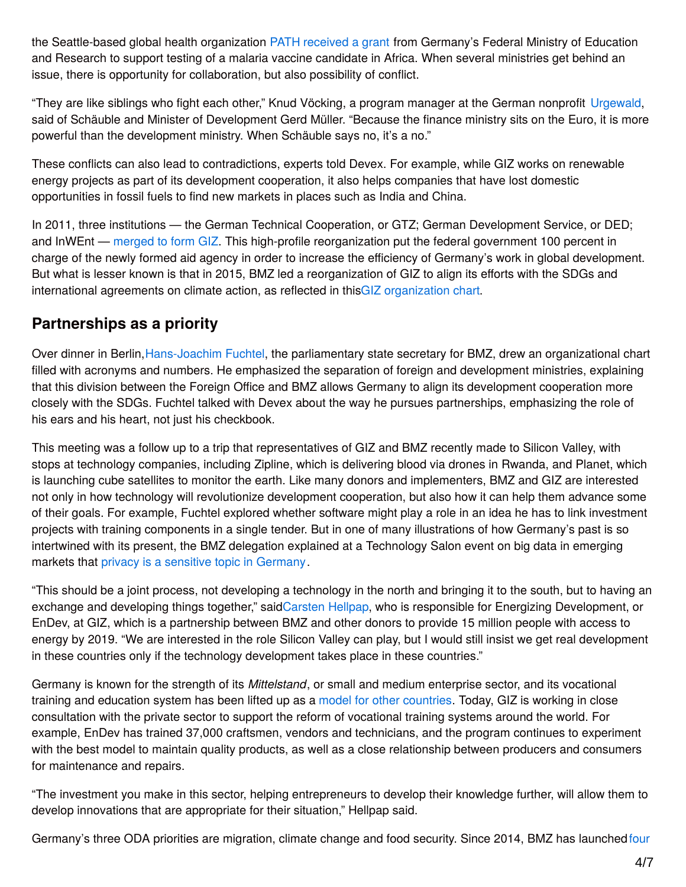the Seattle-based global health organization [PATH](https://www.devex.com/organizations/path-2766) [received](https://www.kfw.de/KfW-Group/Newsroom/Aktuelles/Pressemitteilungen/Pressemitteilungen-Details_387648.html) a grant from Germany's Federal Ministry of Education and Research to support testing of a malaria vaccine candidate in Africa. When several ministries get behind an issue, there is opportunity for collaboration, but also possibility of conflict.

"They are like siblings who fight each other," Knud Vöcking, a program manager at the German nonprofit [Urgewald](https://www.urgewald.org/), said of Schäuble and Minister of Development Gerd Müller. "Because the finance ministry sits on the Euro, it is more powerful than the development ministry. When Schäuble says no, it's a no."

These conflicts can also lead to contradictions, experts told Devex. For example, while GIZ works on renewable energy projects as part of its development cooperation, it also helps companies that have lost domestic opportunities in fossil fuels to find new markets in places such as India and China.

In 2011, three institutions — the German Technical Cooperation, or GTZ; German Development Service, or DED; and InWEnt — [merged](https://www.devex.com/news/in-sweeping-aid-reform-merged-german-agency-becomes-operational-71908) to form GIZ. This high-profile reorganization put the federal government 100 percent in charge of the newly formed aid agency in order to increase the efficiency of Germany's work in global development. But what is lesser known is that in 2015, BMZ led a reorganization of GIZ to align its efforts with the SDGs and international agreements on climate action, as reflected in thisGIZ [organization](https://www.giz.de/en/downloads/giz2017-en-unternehmensorganigramm.pdf) chart.

### **Partnerships as a priority**

Over dinner in Berlin, Hans-Joachim Fuchtel, the parliamentary state secretary for BMZ, drew an organizational chart filled with acronyms and numbers. He emphasized the separation of foreign and development ministries, explaining that this division between the Foreign Office and BMZ allows Germany to align its development cooperation more closely with the SDGs. Fuchtel talked with Devex about the way he pursues partnerships, emphasizing the role of his ears and his heart, not just his checkbook.

This meeting was a follow up to a trip that representatives of GIZ and BMZ recently made to Silicon Valley, with stops at technology companies, including Zipline, which is delivering blood via drones in Rwanda, and Planet, which is launching cube satellites to monitor the earth. Like many donors and implementers, BMZ and GIZ are interested not only in how technology will revolutionize development cooperation, but also how it can help them advance some of their goals. For example, Fuchtel explored whether software might play a role in an idea he has to link investment projects with training components in a single tender. But in one of many illustrations of how Germany's past is so intertwined with its present, the BMZ delegation explained at a Technology Salon event on big data in emerging markets that privacy is a sensitive topic in [Germany](http://www.usnews.com/news/best-countries/articles/2016-04-05/germanys-cryptic-debate-on-data-and-privacy).

"This should be a joint process, not developing a technology in the north and bringing it to the south, but to having an exchange and developing things together," sai[dCarsten](https://www.giz.de/en/mediacenter/34555.html) Hellpap, who is responsible for Energizing Development, or EnDev, at GIZ, which is a partnership between BMZ and other donors to provide 15 million people with access to energy by 2019. "We are interested in the role Silicon Valley can play, but I would still insist we get real development in these countries only if the technology development takes place in these countries."

Germany is known for the strength of its *Mittelstand*, or small and medium enterprise sector, and its vocational training and education system has been lifted up as a model for other [countries](https://www.bloomberg.com/news/articles/2013-04-29/what-germany-can-teach-the-u-dot-s-dot-about-vocational-education). Today, GIZ is working in close consultation with the private sector to support the reform of vocational training systems around the world. For example, EnDev has trained 37,000 craftsmen, vendors and technicians, and the program continues to experiment with the best model to maintain quality products, as well as a close relationship between producers and consumers for maintenance and repairs.

"The investment you make in this sector, helping entrepreneurs to develop their knowledge further, will allow them to develop innovations that are appropriate for their situation," Hellpap said.

Germany's three ODA priorities are migration, climate change and food security. Since 2014, BMZ has launched four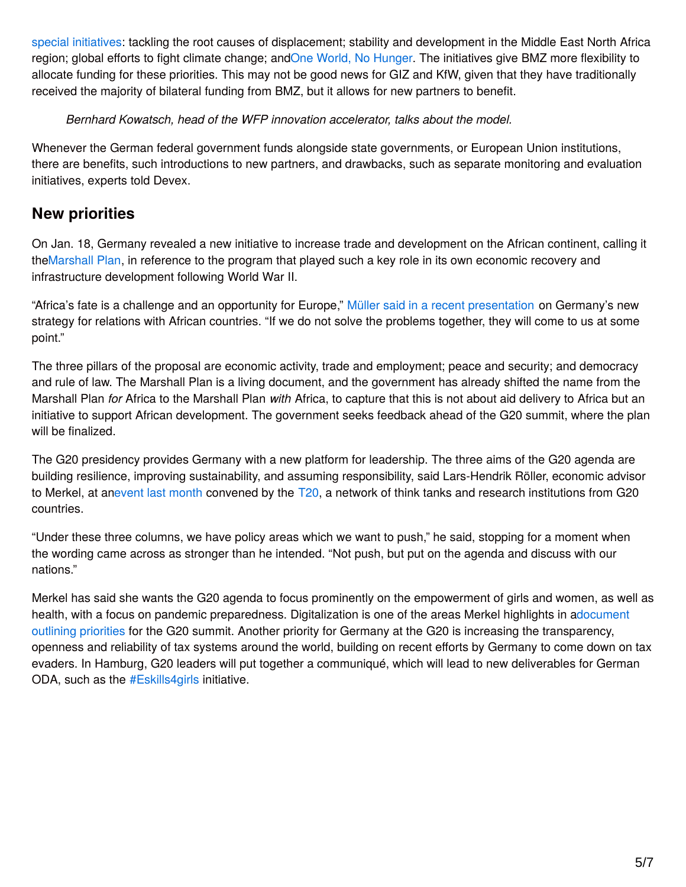special initiatives: tackling the root causes of displacement; stability and development in the Middle East North Africa region; global efforts to fight climate change; andOne World, No [Hunger](https://www.giz.de/en/mediacenter/30854.html). The initiatives give BMZ more flexibility to allocate funding for these priorities. This may not be good news for GIZ and KfW, given that they have traditionally received the majority of bilateral funding from BMZ, but it allows for new partners to benefit.

*Bernhard Kowatsch, head of the WFP innovation accelerator, talks about the model.*

Whenever the German federal government funds alongside state governments, or European Union institutions, there are benefits, such introductions to new partners, and drawbacks, such as separate monitoring and evaluation initiatives, experts told Devex.

#### **New priorities**

On Jan. 18, Germany revealed a new initiative to increase trade and development on the African continent, calling it th[eMarshall](http://www.bmz.de/en/publications/type_of_publication/information_flyer/information_brochures/Materialie270_africa_marshallplan.pdf) Plan, in reference to the program that played such a key role in its own economic recovery and infrastructure development following World War II.

"Africa's fate is a challenge and an opportunity for Europe," Müller said in a recent [presentation](http://www.atlanticcouncil.org/blogs/new-atlanticist/germany-s-marshall-plan-for-africa) on Germany's new strategy for relations with African countries. "If we do not solve the problems together, they will come to us at some point."

The three pillars of the proposal are economic activity, trade and employment; peace and security; and democracy and rule of law. The Marshall Plan is a living document, and the government has already shifted the name from the Marshall Plan *for* Africa to the Marshall Plan *with* Africa, to capture that this is not about aid delivery to Africa but an initiative to support African development. The government seeks feedback ahead of the G20 summit, where the plan will be finalized.

The G20 presidency provides Germany with a new platform for leadership. The three aims of the G20 agenda are building resilience, improving sustainability, and assuming responsibility, said Lars-Hendrik Röller, economic advisor to Merkel, at anevent last [month](https://www.youtube.com/watch?time_continue=1369&v=KzX6AOFwxlM) convened by the [T20](http://t20germany.org/), a network of think tanks and research institutions from G20 countries.

"Under these three columns, we have policy areas which we want to push," he said, stopping for a moment when the wording came across as stronger than he intended. "Not push, but put on the agenda and discuss with our nations."

Merkel has said she wants the G20 agenda to focus prominently on the empowerment of girls and women, as well as health, with a focus on pandemic [preparedness.](https://www.g20.org/Content/DE/_Anlagen/G7_G20/2016-g20-praesidentschaftspapier-en.pdf?__blob=publicationFile&v=2) Digitalization is one of the areas Merkel highlights in adocument outlining priorities for the G20 summit. Another priority for Germany at the G20 is increasing the transparency, openness and reliability of tax systems around the world, building on recent efforts by Germany to come down on tax evaders. In Hamburg, G20 leaders will put together a communiqué, which will lead to new deliverables for German ODA, such as the [#Eskills4girls](https://www.fiw.uni-bonn.de/digital-society/projects-and-events/eskills_for_women_and_girls) initiative.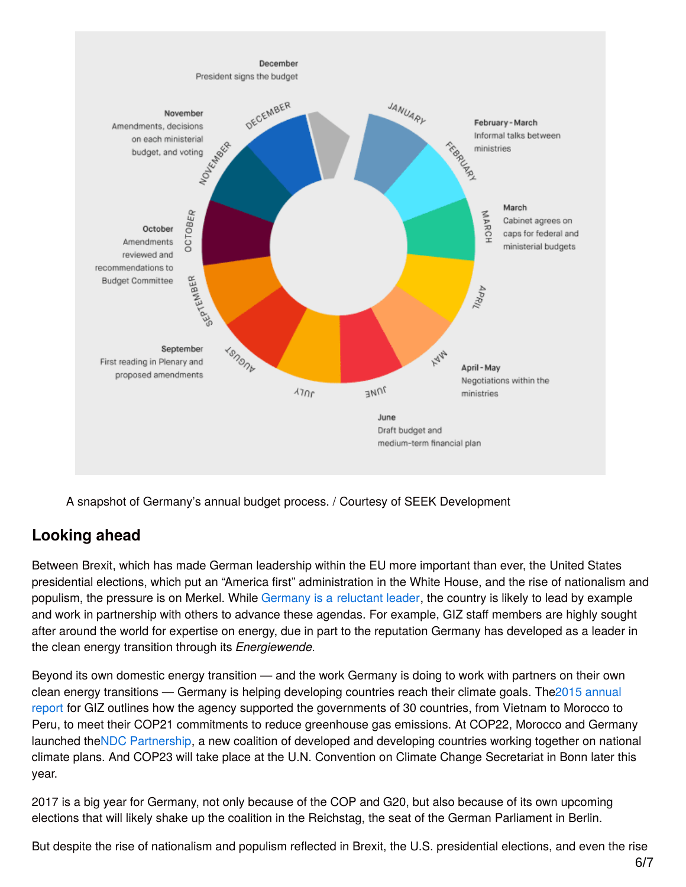

A snapshot of Germany's annual budget process. / Courtesy of SEEK Development

## **Looking ahead**

Between Brexit, which has made German leadership within the EU more important than ever, the United States presidential elections, which put an "America first" administration in the White House, and the rise of nationalism and populism, the pressure is on Merkel. While [Germany](https://www.devex.com/news/germany-an-emerging-power-in-global-development-remains-a-reluctant-leader-89245) is a [reluctant](https://www.devex.com/news/germany-an-emerging-power-in-global-development-remains-a-reluctant-leader-89245) leader, the country is likely to lead by example and work in partnership with others to advance these agendas. For example, GIZ staff members are highly sought after around the world for expertise on energy, due in part to the reputation Germany has developed as a leader in the clean energy transition through its *Energiewende*.

Beyond its own domestic energy transition — and the work Germany is doing to work with partners on their own clean energy transitions — Germany is helping developing countries reach their climate goals. The2015 annual report for GIZ outlines how the agency supported the [governments](https://www.giz.de/en/aboutgiz/corporate_reports.html) of 30 countries, from Vietnam to Morocco to Peru, to meet their COP21 commitments to reduce greenhouse gas emissions. At COP22, Morocco and Germany launched theNDC [Partnership](http://www.ndcpartnership.org/news-and-events/news/release-national-governments-partner-ensure-climate-action-fast-effective-and), a new coalition of developed and developing countries working together on national climate plans. And COP23 will take place at the U.N. Convention on Climate Change Secretariat in Bonn later this year.

2017 is a big year for Germany, not only because of the COP and G20, but also because of its own upcoming elections that will likely shake up the coalition in the Reichstag, the seat of the German Parliament in Berlin.

But despite the rise of nationalism and populism reflected in Brexit, the U.S. presidential elections, and even the rise